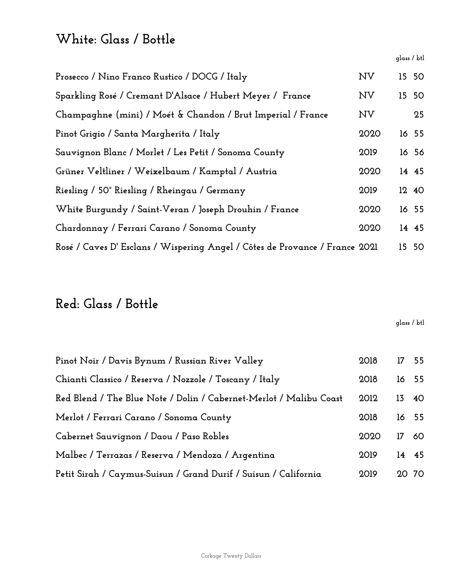#### **White: Glass / Bottle**

**glass / btl**

| Prosecco / Nino Franco Rustico / DOCG / Italy                               | <b>NV</b> | 15 50 |
|-----------------------------------------------------------------------------|-----------|-------|
| Sparkling Rosé / Cremant D'Alsace / Hubert Meyer / France                   | <b>NV</b> | 15 50 |
| Champaghne (mini) / Moét & Chandon / Brut Imperial / France                 | <b>NV</b> | 25    |
| Pinot Grigio / Santa Margherita / Italy                                     | 2020      | 16 55 |
| Sauvignon Blanc / Morlet / Les Petit / Sonoma County                        | 2019      | 16 56 |
| Grüner Veltliner / Weixelbaum / Kamptal / Austria                           | 2020      | 14 45 |
| Riesling / 50° Riesling / Rheingau / Germany                                | 2019      | 12 40 |
| White Burgundy / Saint-Veran / Joseph Drouhin / France                      | 2020      | 16 55 |
| Chardonnay / Ferrari Carano / Sonoma County                                 | 2020      | 14 45 |
| Rosé / Caves D' Esclans / Wispering Angel / Côtes de Provance / France 2021 |           | 15 50 |

#### **Red: Glass / Bottle**

**glass / btl**

| Pinot Noir / Davis Bynum / Russian River Valley                    | 2018 |    | 17 55 |
|--------------------------------------------------------------------|------|----|-------|
| Chianti Classico / Reserva / Nozzole / Toscany / Italy             | 2018 |    | 16 55 |
| Red Blend / The Blue Note / Dolin / Cabernet-Merlot / Malibu Coast | 2012 |    | 13 40 |
| Merlot / Ferrari Carano / Sonoma County                            |      |    | 16 55 |
| Cabernet Sauvignon / Daou / Paso Robles                            | 2020 | 17 | 60    |
| Malbec / Terrazas / Reserva / Mendoza / Argentina                  |      |    | 14 45 |
| Petit Sirah / Caymus-Suisun / Grand Durif / Suisun / California    |      |    | 20 70 |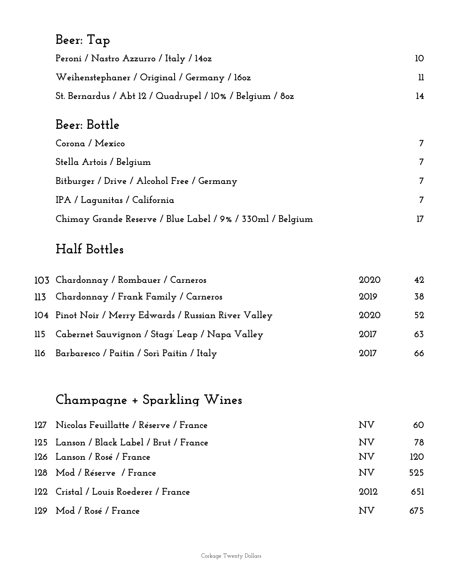## **Beer: Tap**

| Peroni / Nastro Azzurro / Italy / 140z                   | 10 |
|----------------------------------------------------------|----|
| Weihenstephaner / Original / Germany / 160z              |    |
| St. Bernardus / Abt 12 / Quadrupel / 10% / Belgium / 80z | 14 |

#### **Beer: Bottle**

| Corona / Mexico                                           |    |
|-----------------------------------------------------------|----|
| Stella Artois / Belgium                                   | 7  |
| Bitburger / Drive / Alcohol Free / Germany                | 7  |
| IPA / Laqunitas / California                              | 7  |
| Chimay Grande Reserve / Blue Label / 9% / 330ml / Belgium | 17 |

### **Half Bottles**

| 103 Chardonnay / Rombauer / Carneros                  | 2020 | 42 |
|-------------------------------------------------------|------|----|
| 113 Chardonnay / Frank Family / Carneros              | 2019 | 38 |
| 104 Pinot Noir / Merry Edwards / Russian River Valley | 2020 | 52 |
| 115 Cabernet Sauvignon / Stags' Leap / Napa Valley    | 2017 | 63 |
| 116 Barbaresco / Paitin / Sorì Paitin / Italy         | 2017 | 66 |

## **Champagne + Sparkling Wines**

| 127 Nicolas Feuillatte / Réserve / France | NV   | 60  |
|-------------------------------------------|------|-----|
| 125 Lanson / Black Label / Brut / France  | NV   | 78  |
| 126 Lanson / Rosé / France                | NV   | 120 |
| 128 Mod / Réserve / France                | NV   | 525 |
| 122 Cristal / Louis Roederer / France     | 2012 | 651 |
| 129 Mod / Rosé / France                   | NV   | 675 |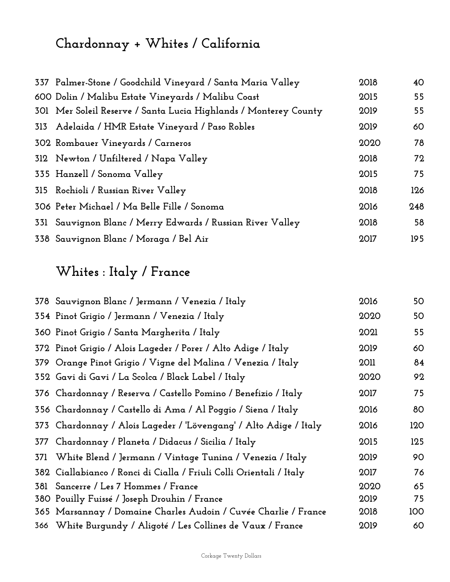# **Chardonnay + Whites / California**

| 337 Palmer-Stone / Goodchild Vineyard / Santa Maria Valley       | 2018 | 40  |
|------------------------------------------------------------------|------|-----|
| 600 Dolin / Malibu Estate Vineyards / Malibu Coast               | 2015 | 55  |
| 301 Mer Soleil Reserve / Santa Lucia Highlands / Monterey County | 2019 | 55  |
| 313 Adelaida / HMR Estate Vineyard / Paso Robles                 | 2019 | 60  |
| 302 Rombauer Vineyards / Carneros                                | 2020 | 78  |
| 312 Newton / Unfiltered / Napa Valley                            | 2018 | 72  |
| 335 Hanzell / Sonoma Valley                                      | 2015 | 75  |
| 315 Rochioli / Russian River Valley                              | 2018 | 126 |
| 306 Peter Michael / Ma Belle Fille / Sonoma                      | 2016 | 248 |
| 331 Sauvignon Blanc / Merry Edwards / Russian River Valley       | 2018 | 58  |
| 338 Sauvignon Blanc / Moraga / Bel Air                           | 2017 | 195 |

## **Whites : Italy / France**

|     | 378 Sauvignon Blanc / Jermann / Venezia / Italy                     | 2016        | 50  |
|-----|---------------------------------------------------------------------|-------------|-----|
|     | 354 Pinot Grigio / Jermann / Venezia / Italy                        | 2020        | 50  |
|     | 360 Pinot Grigio / Santa Margherita / Italy                         | 2021        | 55  |
|     | 372 Pinot Grigio / Alois Lageder / Porer / Alto Adige / Italy       | 2019        | 60  |
|     | 379 Orange Pinot Grigio / Vigne del Malina / Venezia / Italy        | <b>2011</b> | 84  |
|     | 352 Gavi di Gavi / La Scolca / Black Label / Italy                  | 2020        | 92  |
|     | 376 Chardonnay / Reserva / Castello Pomino / Benefizio / Italy      | 2017        | 75  |
|     | 356 Chardonnay / Castello di Ama / Al Poggio / Siena / Italy        | 2016        | 80  |
|     | 373 Chardonnay / Alois Lageder / 'Lövengang' / Alto Adige / Italy   | 2016        | 120 |
| 377 | Chardonnay / Planeta / Didacus / Sicilia / Italy                    | 2015        | 125 |
| 371 | White Blend / Jermann / Vintage Tunina / Venezia / Italy            | 2019        | 90  |
|     | 382 Ciallabianco / Ronci di Cialla / Friuli Colli Orientali / Italy | 2017        | 76  |
|     | 381 Sancerre / Les 7 Hommes / France                                | 2020        | 65  |
|     | 380 Pouilly Fuissé / Joseph Drouhin / France                        | 2019        | 75  |
|     | 365 Marsannay / Domaine Charles Audoin / Cuvée Charlie / France     | 2018        | 100 |
|     | 366 White Burgundy / Aligoté / Les Collines de Vaux / France        | 2019        | 60  |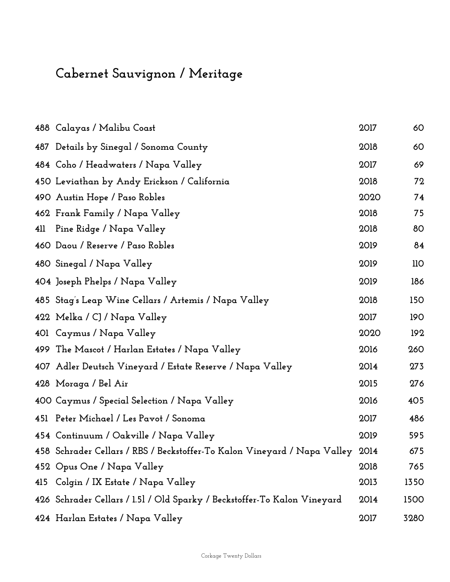## **Cabernet Sauvignon / Meritage**

|     | 488 Calayas / Malibu Coast                                                    | 2017 | 60   |
|-----|-------------------------------------------------------------------------------|------|------|
|     | 487 Details by Sinegal / Sonoma County                                        | 2018 | 60   |
|     | 484 Coho / Headwaters / Napa Valley                                           | 2017 | 69   |
|     | 450 Leviathan by Andy Erickson / California                                   | 2018 | 72   |
|     | 490 Austin Hope / Paso Robles                                                 | 2020 | 74   |
|     | 462 Frank Family / Napa Valley                                                | 2018 | 75   |
|     | 411 Pine Ridge / Napa Valley                                                  | 2018 | 80   |
|     | 460 Daou / Reserve / Paso Robles                                              | 2019 | 84   |
|     | 480 Sinegal / Napa Valley                                                     | 2019 | 110  |
|     | 404 Joseph Phelps / Napa Valley                                               | 2019 | 186  |
|     | 485 Stag's Leap Wine Cellars / Artemis / Napa Valley                          | 2018 | 150  |
|     | 422 Melka / CJ / Napa Valley                                                  | 2017 | 190  |
|     | 401 Caymus / Napa Valley                                                      | 2020 | 192  |
|     | 499 The Mascot / Harlan Estates / Napa Valley                                 | 2016 | 260  |
|     | 407 Adler Deutsch Vineyard / Estate Reserve / Napa Valley                     | 2014 | 273  |
|     | 428 Moraga / Bel Air                                                          | 2015 | 276  |
|     | 400 Caymus / Special Selection / Napa Valley                                  | 2016 | 405  |
|     | 451 Peter Michael / Les Pavot / Sonoma                                        | 2017 | 486  |
|     | 454 Continuum / Oakville / Napa Valley                                        | 2019 | 595  |
|     | 458 Schrader Cellars / RBS / Beckstoffer-To Kalon Vineyard / Napa Valley 2014 |      | 675  |
|     | 452 Opus One / Napa Valley                                                    | 2018 | 765  |
| 415 | Colgin / IX Estate / Napa Valley                                              | 2013 | 1350 |
|     | 426 Schrader Cellars / 1.51 / Old Sparky / Beckstoffer-To Kalon Vineyard      | 2014 | 1500 |
|     | 424 Harlan Estates / Napa Valley                                              | 2017 | 3280 |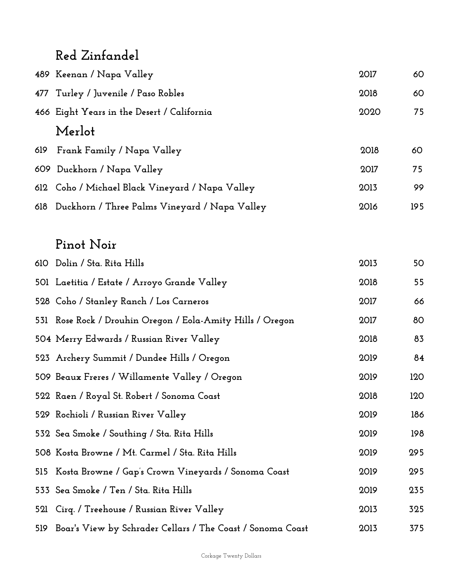#### **Red Zinfandel**

|     | 489 Keenan / Napa Valley                          | 2017 | 60  |
|-----|---------------------------------------------------|------|-----|
|     | 477 Turley / Juvenile / Paso Robles               | 2018 | 60  |
|     | 466 Eight Years in the Desert / California        | 2020 | 75  |
|     | Merlot                                            |      |     |
| 619 | Frank Family / Napa Valley                        | 2018 | 60  |
|     | 609 Duckhorn / Napa Valley                        | 2017 | 75  |
|     | 612 Coho / Michael Black Vineyard / Napa Valley   | 2013 | 99  |
|     | 618 Duckhorn / Three Palms Vineyard / Napa Valley | 2016 | 195 |

#### **Pinot Noir**

| 610 Dolin / Sta. Rita Hills                                    | 2013 | 50  |
|----------------------------------------------------------------|------|-----|
| 501 Laetitia / Estate / Arroyo Grande Valley                   | 2018 | 55  |
| 528 Coho / Stanley Ranch / Los Carneros                        | 2017 | 66  |
| 531 Rose Rock / Drouhin Oregon / Eola-Amity Hills / Oregon     | 2017 | 80  |
| 504 Merry Edwards / Russian River Valley                       | 2018 | 83  |
| 523 Archery Summit / Dundee Hills / Oregon                     | 2019 | 84  |
| 509 Beaux Freres / Willamente Valley / Oregon                  | 2019 | 120 |
| 522 Raen / Royal St. Robert / Sonoma Coast                     | 2018 | 120 |
| 529 Rochioli / Russian River Valley                            | 2019 | 186 |
| 532 Sea Smoke / Southing / Sta. Rita Hills                     | 2019 | 198 |
| 508  Kosta Browne / Mt. Carmel / Sta. Rita Hills               | 2019 | 295 |
| 515 Kosta Browne / Gap's Crown Vineyards / Sonoma Coast        | 2019 | 295 |
| 533 Sea Smoke / Ten / Sta. Rita Hills                          | 2019 | 235 |
| 521 Cirq. / Treehouse / Russian River Valley                   | 2013 | 325 |
| 519 Boar's View by Schrader Cellars / The Coast / Sonoma Coast | 2013 | 375 |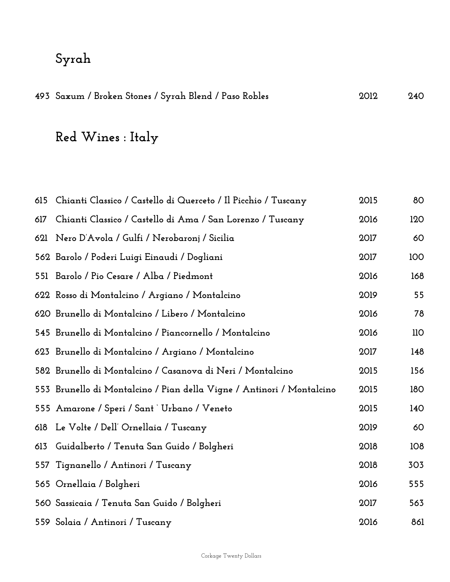## **Syrah**

|  | 493 Saxum / Broken Stones / Syrah Blend / Paso Robles |  |  |  | 2012 | 240 |
|--|-------------------------------------------------------|--|--|--|------|-----|
|--|-------------------------------------------------------|--|--|--|------|-----|

## **Red Wines : Italy**

|     | 615 Chianti Classico / Castello di Querceto / Il Picchio / Tuscany    | 2015 | 80  |
|-----|-----------------------------------------------------------------------|------|-----|
| 617 | Chianti Classico / Castello di Ama / San Lorenzo / Tuscany            | 2016 | 120 |
| 621 | Nero D'Avola / Gulfi / Nerobaronj / Sicilia                           | 2017 | 60  |
|     | 562 Barolo / Poderi Luigi Einaudi / Dogliani                          | 2017 | 100 |
|     | 551 Barolo / Pio Cesare / Alba / Piedmont                             | 2016 | 168 |
|     | 622 Rosso di Montalcino / Argiano / Montalcino                        | 2019 | 55  |
|     | 620 Brunello di Montalcino / Libero / Montalcino                      | 2016 | 78  |
|     | 545 Brunello di Montalcino / Piancornello / Montalcino                | 2016 | 110 |
|     | 623 Brunello di Montalcino / Argiano / Montalcino                     | 2017 | 148 |
|     | 582 Brunello di Montalcino / Casanova di Neri / Montalcino            | 2015 | 156 |
|     | 553 Brunello di Montalcino / Pian della Vigne / Antinori / Montalcino | 2015 | 180 |
|     | 555 Amarone / Speri / Sant`Urbano / Veneto                            | 2015 | 140 |
| 618 | Le Volte / Dell' Ornellaia / Tuscany                                  | 2019 | 60  |
| 613 | Guidalberto / Tenuta San Guido / Bolgheri                             | 2018 | 108 |
| 557 | Tignanello / Antinori / Tuscany                                       | 2018 | 303 |
|     | 565 Ornellaia / Bolgheri                                              | 2016 | 555 |
|     | 560 Sassicaia / Tenuta San Guido / Bolgheri                           | 2017 | 563 |
|     | 559 Solaia / Antinori / Tuscany                                       | 2016 | 861 |